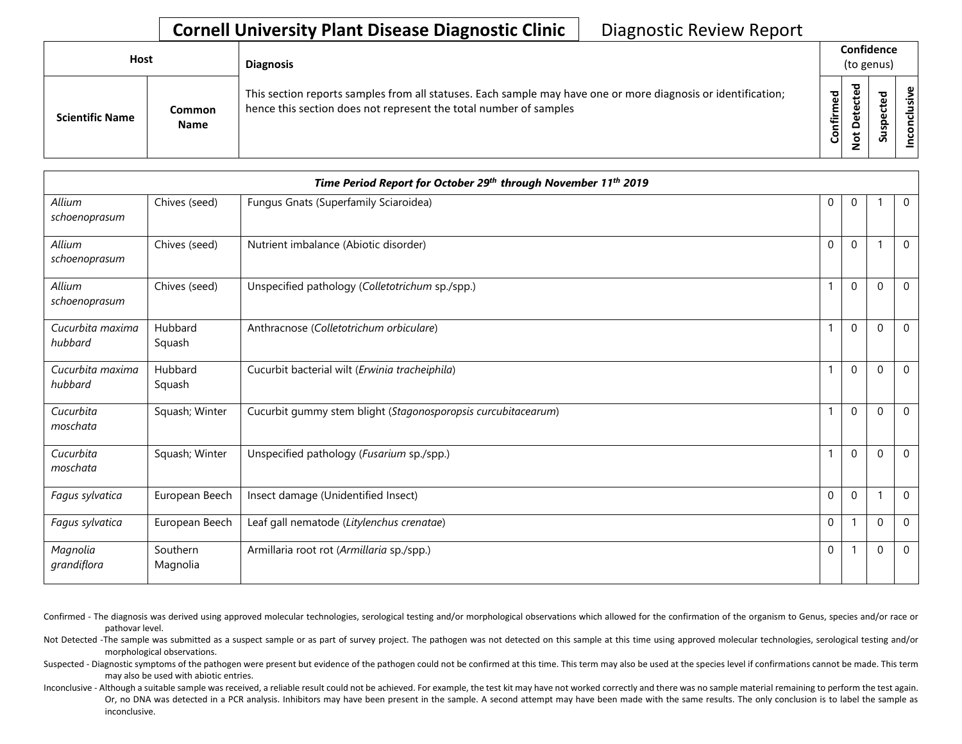## **Cornell University Plant Disease Diagnostic Clinic | Diagnostic Review Report**

| Host |                        |                              | <b>Diagnosis</b>                                                                                                                                                                   |                                   | Confidence<br>(to genus) |   |                   |  |  |
|------|------------------------|------------------------------|------------------------------------------------------------------------------------------------------------------------------------------------------------------------------------|-----------------------------------|--------------------------|---|-------------------|--|--|
|      | <b>Scientific Name</b> | <b>Common</b><br><b>Name</b> | This section reports samples from all statuses. Each sample may have one or more diagnosis or identification;<br>hence this section does not represent the total number of samples | ᅙ<br>$\mathbf{Q}$<br>트<br>튐<br>පි | ᇃ                        | ഗ | ያ<br>'ল<br>ㅎ<br>g |  |  |

| Time Period Report for October 29th through November 11th 2019 |                      |                                                               |             |              |          |              |  |
|----------------------------------------------------------------|----------------------|---------------------------------------------------------------|-------------|--------------|----------|--------------|--|
| Allium<br>schoenoprasum                                        | Chives (seed)        | Fungus Gnats (Superfamily Sciaroidea)                         | 0           | $\mathbf 0$  |          | $\mathbf 0$  |  |
| Allium<br>schoenoprasum                                        | Chives (seed)        | Nutrient imbalance (Abiotic disorder)                         | $\mathbf 0$ | $\mathbf 0$  |          | $\mathbf 0$  |  |
| Allium<br>schoenoprasum                                        | Chives (seed)        | Unspecified pathology (Colletotrichum sp./spp.)               |             | $\Omega$     | $\Omega$ | $\mathbf 0$  |  |
| Cucurbita maxima<br>hubbard                                    | Hubbard<br>Squash    | Anthracnose (Colletotrichum orbiculare)                       |             | $\mathbf 0$  | $\Omega$ | $\mathbf 0$  |  |
| Cucurbita maxima<br>hubbard                                    | Hubbard<br>Squash    | Cucurbit bacterial wilt (Erwinia tracheiphila)                |             | $\mathbf 0$  | $\Omega$ | $\mathbf 0$  |  |
| Cucurbita<br>moschata                                          | Squash; Winter       | Cucurbit gummy stem blight (Stagonosporopsis curcubitacearum) |             | $\mathbf{0}$ | $\Omega$ | $\mathbf 0$  |  |
| Cucurbita<br>moschata                                          | Squash; Winter       | Unspecified pathology (Fusarium sp./spp.)                     |             | $\mathbf 0$  | $\Omega$ | $\mathbf 0$  |  |
| Fagus sylvatica                                                | European Beech       | Insect damage (Unidentified Insect)                           | $\mathbf 0$ | $\Omega$     |          | $\mathbf{0}$ |  |
| Fagus sylvatica                                                | European Beech       | Leaf gall nematode (Litylenchus crenatae)                     | 0           |              | $\Omega$ | $\mathbf 0$  |  |
| Magnolia<br>grandiflora                                        | Southern<br>Magnolia | Armillaria root rot (Armillaria sp./spp.)                     | 0           |              | $\Omega$ | $\mathbf 0$  |  |

Confirmed - The diagnosis was derived using approved molecular technologies, serological testing and/or morphological observations which allowed for the confirmation of the organism to Genus, species and/or race or pathovar level.

Not Detected -The sample was submitted as a suspect sample or as part of survey project. The pathogen was not detected on this sample at this time using approved molecular technologies, serological testing and/or morphological observations.

Suspected - Diagnostic symptoms of the pathogen were present but evidence of the pathogen could not be confirmed at this time. This term may also be used at the species level if confirmations cannot be made. This term may also be used with abiotic entries.

Or, no DNA was detected in a PCR analysis. Inhibitors may have been present in the sample. A second attempt may have been made with the same results. The only conclusion is to label the sample as Inconclusive - Although a suitable sample was received, a reliable result could not be achieved. For example, the test kit may have not worked correctly and there was no sample material remaining to perform the test again. inconclusive.